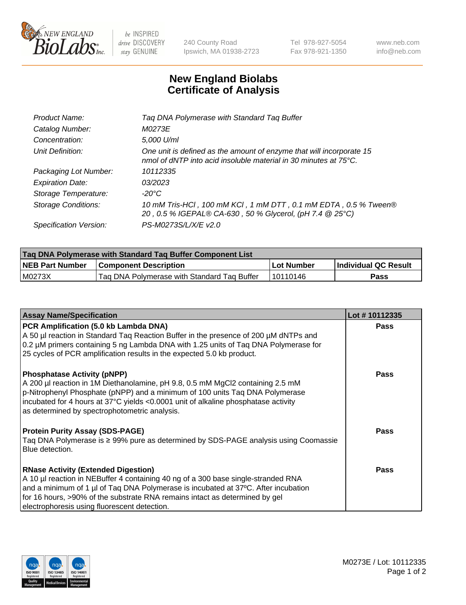

 $be$  INSPIRED drive DISCOVERY stay GENUINE

240 County Road Ipswich, MA 01938-2723 Tel 978-927-5054 Fax 978-921-1350 www.neb.com info@neb.com

## **New England Biolabs Certificate of Analysis**

| Product Name:              | Tag DNA Polymerase with Standard Tag Buffer                                                                                                        |
|----------------------------|----------------------------------------------------------------------------------------------------------------------------------------------------|
| Catalog Number:            | M0273E                                                                                                                                             |
| Concentration:             | 5,000 U/ml                                                                                                                                         |
| Unit Definition:           | One unit is defined as the amount of enzyme that will incorporate 15<br>nmol of dNTP into acid insoluble material in 30 minutes at $75^{\circ}$ C. |
| Packaging Lot Number:      | 10112335                                                                                                                                           |
| <b>Expiration Date:</b>    | 03/2023                                                                                                                                            |
| Storage Temperature:       | $-20^{\circ}$ C                                                                                                                                    |
| <b>Storage Conditions:</b> | 10 mM Tris-HCl, 100 mM KCl, 1 mM DTT, 0.1 mM EDTA, 0.5 % Tween®<br>20, 0.5 % IGEPAL® CA-630, 50 % Glycerol, (pH 7.4 @ 25°C)                        |
| Specification Version:     | PS-M0273S/L/X/E v2.0                                                                                                                               |

| Taq DNA Polymerase with Standard Taq Buffer Component List |                                             |              |                      |  |
|------------------------------------------------------------|---------------------------------------------|--------------|----------------------|--|
| <b>NEB Part Number</b>                                     | <b>Component Description</b>                | l Lot Number | Individual QC Result |  |
| M0273X                                                     | Tag DNA Polymerase with Standard Tag Buffer | l 10110146   | Pass                 |  |

| <b>Assay Name/Specification</b>                                                                                                                                                                                                                                                                                                                      | Lot #10112335 |
|------------------------------------------------------------------------------------------------------------------------------------------------------------------------------------------------------------------------------------------------------------------------------------------------------------------------------------------------------|---------------|
| PCR Amplification (5.0 kb Lambda DNA)<br>A 50 µl reaction in Standard Taq Reaction Buffer in the presence of 200 µM dNTPs and<br>0.2 µM primers containing 5 ng Lambda DNA with 1.25 units of Taq DNA Polymerase for<br>25 cycles of PCR amplification results in the expected 5.0 kb product.                                                       | <b>Pass</b>   |
| <b>Phosphatase Activity (pNPP)</b><br>A 200 µl reaction in 1M Diethanolamine, pH 9.8, 0.5 mM MgCl2 containing 2.5 mM<br>p-Nitrophenyl Phosphate (pNPP) and a minimum of 100 units Taq DNA Polymerase<br>incubated for 4 hours at 37°C yields <0.0001 unit of alkaline phosphatase activity<br>as determined by spectrophotometric analysis.          | Pass          |
| <b>Protein Purity Assay (SDS-PAGE)</b><br>Taq DNA Polymerase is ≥ 99% pure as determined by SDS-PAGE analysis using Coomassie<br>Blue detection.                                                                                                                                                                                                     | <b>Pass</b>   |
| <b>RNase Activity (Extended Digestion)</b><br>A 10 µl reaction in NEBuffer 4 containing 40 ng of a 300 base single-stranded RNA<br>and a minimum of 1 µl of Taq DNA Polymerase is incubated at 37°C. After incubation<br>for 16 hours, >90% of the substrate RNA remains intact as determined by gel<br>electrophoresis using fluorescent detection. | <b>Pass</b>   |